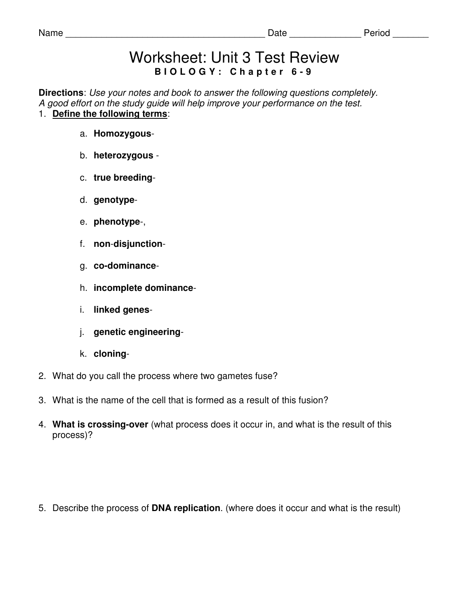#### Name \_\_\_\_\_\_\_\_\_\_\_\_\_\_\_\_\_\_\_\_\_\_\_\_\_\_\_\_\_\_\_\_\_\_\_\_\_\_\_ Date \_\_\_\_\_\_\_\_\_\_\_\_\_\_ Period \_\_\_\_\_\_\_

# Worksheet: Unit 3 Test Review **B I O L O G Y : C h a p t e r 6 - 9**

**Directions**: Use your notes and book to answer the following questions completely. A good effort on the study guide will help improve your performance on the test. 1. **Define the following terms**:

- a. **Homozygous**-
- b. **heterozygous** -
- c. **true breeding**-
- d. **genotype**-
- e. **phenotype**-,
- f. **non**-**disjunction**-
- g. **co-dominance**-
- h. **incomplete dominance**-
- i. **linked genes**-
- j. **genetic engineering**-
- k. **cloning**-
- 2. What do you call the process where two gametes fuse?
- 3. What is the name of the cell that is formed as a result of this fusion?
- 4. **What is crossing-over** (what process does it occur in, and what is the result of this process)?

5. Describe the process of **DNA replication**. (where does it occur and what is the result)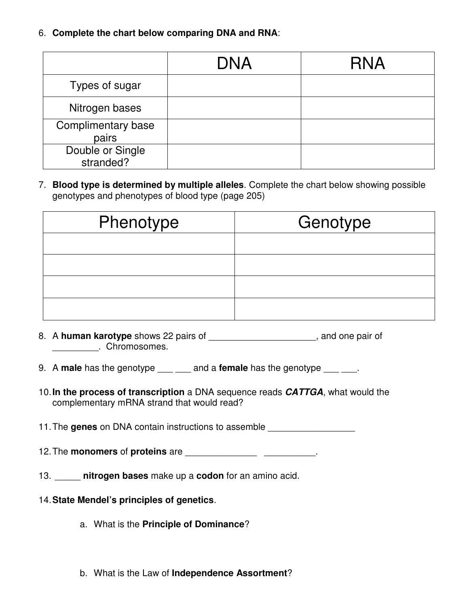6. **Complete the chart below comparing DNA and RNA**:

|                               | <b>DNA</b> | <b>RNA</b> |
|-------------------------------|------------|------------|
| Types of sugar                |            |            |
| Nitrogen bases                |            |            |
| Complimentary base<br>pairs   |            |            |
| Double or Single<br>stranded? |            |            |

7. **Blood type is determined by multiple alleles**. Complete the chart below showing possible genotypes and phenotypes of blood type (page 205)

| Phenotype | Genotype |
|-----------|----------|
|           |          |
|           |          |
|           |          |
|           |          |

- 8. A **human karotype** shows 22 pairs of **and the set of the set of state of state of state and one pair of set of** \_\_\_\_\_\_\_\_\_. Chromosomes.
- 9. A **male** has the genotype <u>equal and a</u> female has the genotype <u>equal</u>.
- 10. **In the process of transcription** a DNA sequence reads **CATTGA**, what would the complementary mRNA strand that would read?

11. The **genes** on DNA contain instructions to assemble \_\_\_\_\_\_\_\_\_\_\_\_\_\_\_\_\_

- 12. The **monomers** of **proteins** are \_\_\_\_\_\_\_\_\_\_\_\_\_\_ \_\_\_\_\_\_\_\_\_\_.
- 13. \_\_\_\_\_ **nitrogen bases** make up a **codon** for an amino acid.
- 14. **State Mendel's principles of genetics**.
	- a. What is the **Principle of Dominance**?
	- b. What is the Law of **Independence Assortment**?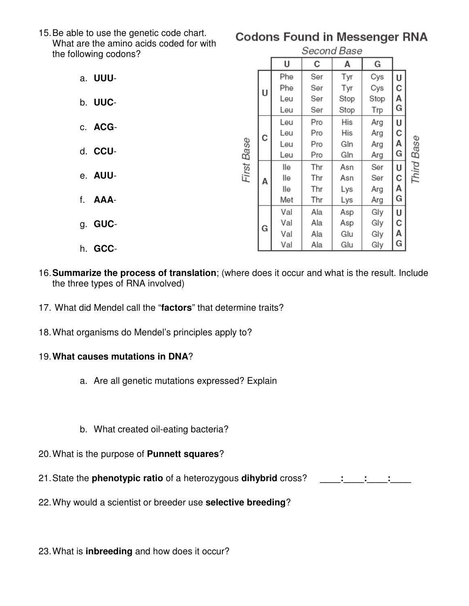15. Be able to use the genetic code chart. What are the amino acids coded for with the following codons?

## a. **UUU**-

- b. **UUC**-
- c. **ACG**-
- d. **CCU**-
- e. **AUU**-
- f. **AAA**-
- g. **GUC**-
- h. **GCC**-

## **Codons Found in Messenger RNA**

| Second Base |   |     |     |      |      |   |            |
|-------------|---|-----|-----|------|------|---|------------|
|             |   | U   | с   | A    | G    |   |            |
| First Base  | U | Phe | Ser | Tyr  | Cys  | U |            |
|             |   | Phe | Ser | Tyr  | Cys  | C |            |
|             |   | Leu | Ser | Stop | Stop | Α |            |
|             |   | Leu | Ser | Stop | Trp  | G |            |
|             | с | Leu | Pro | His  | Arg  | U |            |
|             |   | Leu | Pro | His  | Arg  | С |            |
|             |   | Leu | Pro | Gln  | Arg  | А |            |
|             |   | Leu | Pro | Gln  | Arg  | G |            |
|             | A | lle | Thr | Asn  | Ser  | U | Third Base |
|             |   | lle | Thr | Asn  | Ser  | С |            |
|             |   | lle | Thr | Lys  | Arg  | А |            |
|             |   | Met | Thr | Lys  | Arg  | G |            |
|             | G | Val | Ala | Asp  | Gly  | U |            |
|             |   | Val | Ala | Asp  | Gly  | с |            |
|             |   | Val | Ala | Glu  | Gly  | А |            |
|             |   | Val | Ala | Glu  | Gly  | G |            |

- 16. **Summarize the process of translation**; (where does it occur and what is the result. Include the three types of RNA involved)
- 17. What did Mendel call the "**factors**" that determine traits?
- 18. What organisms do Mendel's principles apply to?

### 19. **What causes mutations in DNA**?

- a. Are all genetic mutations expressed? Explain
- b. What created oil-eating bacteria?
- 20. What is the purpose of **Punnett squares**?
- 21. State the **phenotypic ratio** of a heterozygous **dihybrid** cross? **\_\_\_\_:\_\_\_\_:\_\_\_\_:\_\_\_\_**
- 22. Why would a scientist or breeder use **selective breeding**?

23. What is **inbreeding** and how does it occur?